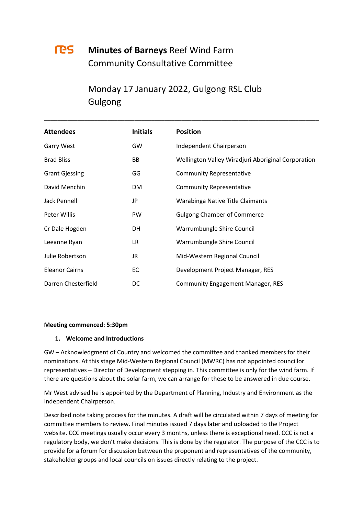# res i

## **Minutes of Barneys** Reef Wind Farm Community Consultative Committee

# Monday 17 January 2022, Gulgong RSL Club Gulgong

\_\_\_\_\_\_\_\_\_\_\_\_\_\_\_\_\_\_\_\_\_\_\_\_\_\_\_\_\_\_\_\_\_\_\_\_\_\_\_\_\_\_\_\_\_\_\_\_\_\_\_\_\_\_\_\_\_\_\_\_\_\_\_\_\_\_\_\_\_\_\_\_\_\_\_\_\_\_\_\_\_\_

| <b>Attendees</b>      | <b>Initials</b> | <b>Position</b>                                    |
|-----------------------|-----------------|----------------------------------------------------|
| <b>Garry West</b>     | GW              | Independent Chairperson                            |
| <b>Brad Bliss</b>     | BB              | Wellington Valley Wiradjuri Aboriginal Corporation |
| <b>Grant Gjessing</b> | GG              | <b>Community Representative</b>                    |
| David Menchin         | DM.             | <b>Community Representative</b>                    |
| Jack Pennell          | JP              | Warabinga Native Title Claimants                   |
| Peter Willis          | <b>PW</b>       | <b>Gulgong Chamber of Commerce</b>                 |
| Cr Dale Hogden        | DH              | Warrumbungle Shire Council                         |
| Leeanne Ryan          | LR.             | Warrumbungle Shire Council                         |
| Julie Robertson       | JR              | Mid-Western Regional Council                       |
| <b>Eleanor Cairns</b> | EC              | Development Project Manager, RES                   |
| Darren Chesterfield   | <b>DC</b>       | <b>Community Engagement Manager, RES</b>           |

### **Meeting commenced: 5:30pm**

### **1. Welcome and Introductions**

GW – Acknowledgment of Country and welcomed the committee and thanked members for their nominations. At this stage Mid-Western Regional Council (MWRC) has not appointed councillor representatives – Director of Development stepping in. This committee is only for the wind farm. If there are questions about the solar farm, we can arrange for these to be answered in due course.

Mr West advised he is appointed by the Department of Planning, Industry and Environment as the Independent Chairperson.

Described note taking process for the minutes. A draft will be circulated within 7 days of meeting for committee members to review. Final minutes issued 7 days later and uploaded to the Project website. CCC meetings usually occur every 3 months, unless there is exceptional need. CCC is not a regulatory body, we don't make decisions. This is done by the regulator. The purpose of the CCC is to provide for a forum for discussion between the proponent and representatives of the community, stakeholder groups and local councils on issues directly relating to the project.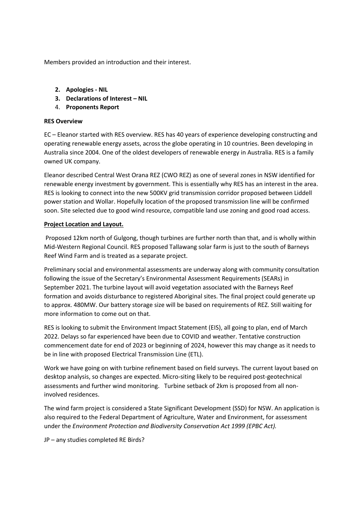Members provided an introduction and their interest.

- **2. Apologies - NIL**
- **3. Declarations of Interest – NIL**
- 4. **Proponents Report**

### **RES Overview**

EC – Eleanor started with RES overview. RES has 40 years of experience developing constructing and operating renewable energy assets, across the globe operating in 10 countries. Been developing in Australia since 2004. One of the oldest developers of renewable energy in Australia. RES is a family owned UK company.

Eleanor described Central West Orana REZ (CWO REZ) as one of several zones in NSW identified for renewable energy investment by government. This is essentially why RES has an interest in the area. RES is looking to connect into the new 500KV grid transmission corridor proposed between Liddell power station and Wollar. Hopefully location of the proposed transmission line will be confirmed soon. Site selected due to good wind resource, compatible land use zoning and good road access.

## **Project Location and Layout.**

Proposed 12km north of Gulgong, though turbines are further north than that, and is wholly within Mid-Western Regional Council. RES proposed Tallawang solar farm is just to the south of Barneys Reef Wind Farm and is treated as a separate project.

Preliminary social and environmental assessments are underway along with community consultation following the issue of the Secretary's Environmental Assessment Requirements (SEARs) in September 2021. The turbine layout will avoid vegetation associated with the Barneys Reef formation and avoids disturbance to registered Aboriginal sites. The final project could generate up to approx. 480MW. Our battery storage size will be based on requirements of REZ. Still waiting for more information to come out on that.

RES is looking to submit the Environment Impact Statement (EIS), all going to plan, end of March 2022. Delays so far experienced have been due to COVID and weather. Tentative construction commencement date for end of 2023 or beginning of 2024, however this may change as it needs to be in line with proposed Electrical Transmission Line (ETL).

Work we have going on with turbine refinement based on field surveys. The current layout based on desktop analysis, so changes are expected. Micro-siting likely to be required post-geotechnical assessments and further wind monitoring. Turbine setback of 2km is proposed from all noninvolved residences.

The wind farm project is considered a State Significant Development (SSD) for NSW. An application is also required to the Federal Department of Agriculture, Water and Environment, for assessment under the *Environment Protection and Biodiversity Conservation Act 1999 (EPBC Act).* 

JP – any studies completed RE Birds?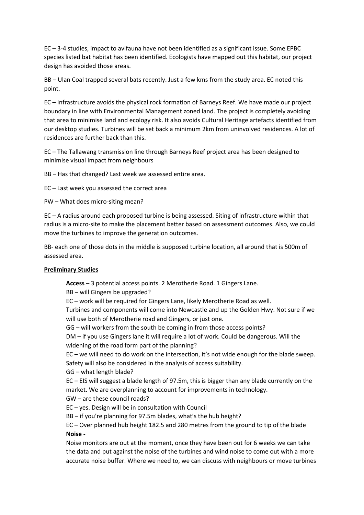EC – 3-4 studies, impact to avifauna have not been identified as a significant issue. Some EPBC species listed bat habitat has been identified. Ecologists have mapped out this habitat, our project design has avoided those areas.

BB – Ulan Coal trapped several bats recently. Just a few kms from the study area. EC noted this point.

EC – Infrastructure avoids the physical rock formation of Barneys Reef. We have made our project boundary in line with Environmental Management zoned land. The project is completely avoiding that area to minimise land and ecology risk. It also avoids Cultural Heritage artefacts identified from our desktop studies. Turbines will be set back a minimum 2km from uninvolved residences. A lot of residences are further back than this.

EC – The Tallawang transmission line through Barneys Reef project area has been designed to minimise visual impact from neighbours

BB – Has that changed? Last week we assessed entire area.

EC – Last week you assessed the correct area

PW – What does micro-siting mean?

EC – A radius around each proposed turbine is being assessed. Siting of infrastructure within that radius is a micro-site to make the placement better based on assessment outcomes. Also, we could move the turbines to improve the generation outcomes.

BB- each one of those dots in the middle is supposed turbine location, all around that is 500m of assessed area.

### **Preliminary Studies**

**Access** – 3 potential access points. 2 Merotherie Road. 1 Gingers Lane.

BB – will Gingers be upgraded?

EC – work will be required for Gingers Lane, likely Merotherie Road as well.

Turbines and components will come into Newcastle and up the Golden Hwy. Not sure if we will use both of Merotherie road and Gingers, or just one.

GG – will workers from the south be coming in from those access points?

DM – if you use Gingers lane it will require a lot of work. Could be dangerous. Will the widening of the road form part of the planning?

EC – we will need to do work on the intersection, it's not wide enough for the blade sweep. Safety will also be considered in the analysis of access suitability.

GG – what length blade?

EC – EIS will suggest a blade length of 97.5m, this is bigger than any blade currently on the market. We are overplanning to account for improvements in technology.

GW – are these council roads?

EC – yes. Design will be in consultation with Council

BB – if you're planning for 97.5m blades, what's the hub height?

EC – Over planned hub height 182.5 and 280 metres from the ground to tip of the blade **Noise -**

Noise monitors are out at the moment, once they have been out for 6 weeks we can take the data and put against the noise of the turbines and wind noise to come out with a more accurate noise buffer. Where we need to, we can discuss with neighbours or move turbines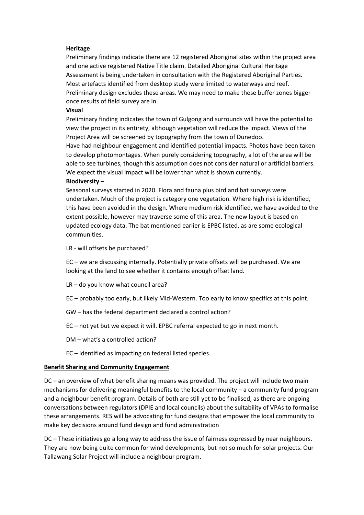#### **Heritage**

Preliminary findings indicate there are 12 registered Aboriginal sites within the project area and one active registered Native Title claim. Detailed Aboriginal Cultural Heritage Assessment is being undertaken in consultation with the Registered Aboriginal Parties. Most artefacts identified from desktop study were limited to waterways and reef. Preliminary design excludes these areas. We may need to make these buffer zones bigger once results of field survey are in.

#### **Visual**

Preliminary finding indicates the town of Gulgong and surrounds will have the potential to view the project in its entirety, although vegetation will reduce the impact. Views of the Project Area will be screened by topography from the town of Dunedoo.

Have had neighbour engagement and identified potential impacts. Photos have been taken to develop photomontages. When purely considering topography, a lot of the area will be able to see turbines, though this assumption does not consider natural or artificial barriers. We expect the visual impact will be lower than what is shown currently.

#### **Biodiversity** –

Seasonal surveys started in 2020. Flora and fauna plus bird and bat surveys were undertaken. Much of the project is category one vegetation. Where high risk is identified, this have been avoided in the design. Where medium risk identified, we have avoided to the extent possible, however may traverse some of this area. The new layout is based on updated ecology data. The bat mentioned earlier is EPBC listed, as are some ecological communities.

LR - will offsets be purchased?

EC – we are discussing internally. Potentially private offsets will be purchased. We are looking at the land to see whether it contains enough offset land.

- LR do you know what council area?
- EC probably too early, but likely Mid-Western. Too early to know specifics at this point.
- GW has the federal department declared a control action?
- EC not yet but we expect it will. EPBC referral expected to go in next month.
- DM what's a controlled action?
- EC identified as impacting on federal listed species.

#### **Benefit Sharing and Community Engagement**

DC – an overview of what benefit sharing means was provided. The project will include two main mechanisms for delivering meaningful benefits to the local community – a community fund program and a neighbour benefit program. Details of both are still yet to be finalised, as there are ongoing conversations between regulators (DPIE and local councils) about the suitability of VPAs to formalise these arrangements. RES will be advocating for fund designs that empower the local community to make key decisions around fund design and fund administration

DC – These initiatives go a long way to address the issue of fairness expressed by near neighbours. They are now being quite common for wind developments, but not so much for solar projects. Our Tallawang Solar Project will include a neighbour program.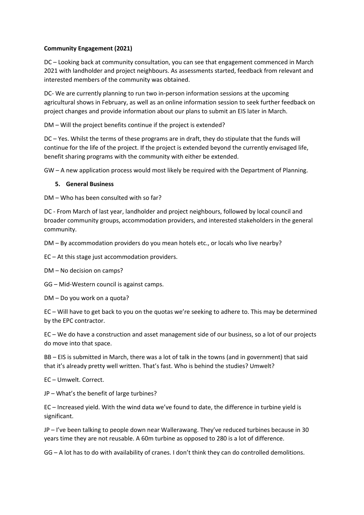## **Community Engagement (2021)**

DC – Looking back at community consultation, you can see that engagement commenced in March 2021 with landholder and project neighbours. As assessments started, feedback from relevant and interested members of the community was obtained.

DC- We are currently planning to run two in-person information sessions at the upcoming agricultural shows in February, as well as an online information session to seek further feedback on project changes and provide information about our plans to submit an EIS later in March.

DM – Will the project benefits continue if the project is extended?

DC – Yes. Whilst the terms of these programs are in draft, they do stipulate that the funds will continue for the life of the project. If the project is extended beyond the currently envisaged life, benefit sharing programs with the community with either be extended.

GW – A new application process would most likely be required with the Department of Planning.

## **5. General Business**

DM – Who has been consulted with so far?

DC - From March of last year, landholder and project neighbours, followed by local council and broader community groups, accommodation providers, and interested stakeholders in the general community.

DM – By accommodation providers do you mean hotels etc., or locals who live nearby?

EC – At this stage just accommodation providers.

DM – No decision on camps?

GG – Mid-Western council is against camps.

DM – Do you work on a quota?

EC – Will have to get back to you on the quotas we're seeking to adhere to. This may be determined by the EPC contractor.

EC – We do have a construction and asset management side of our business, so a lot of our projects do move into that space.

BB – EIS is submitted in March, there was a lot of talk in the towns (and in government) that said that it's already pretty well written. That's fast. Who is behind the studies? Umwelt?

EC – Umwelt. Correct.

JP – What's the benefit of large turbines?

EC – Increased yield. With the wind data we've found to date, the difference in turbine yield is significant.

JP – I've been talking to people down near Wallerawang. They've reduced turbines because in 30 years time they are not reusable. A 60m turbine as opposed to 280 is a lot of difference.

GG – A lot has to do with availability of cranes. I don't think they can do controlled demolitions.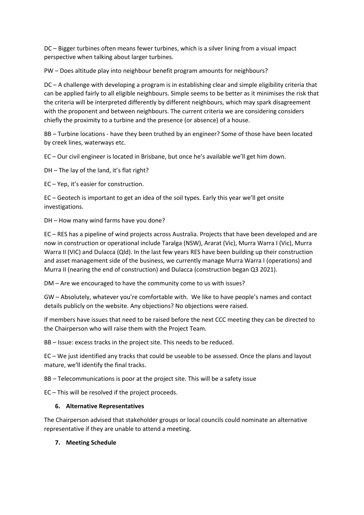DC – Bigger turbines often means fewer turbines, which is a silver lining from a visual impact perspective when talking about larger turbines.

PW – Does altitude play into neighbour benefit program amounts for neighbours?

DC – A challenge with developing a program is in establishing clear and simple eligibility criteria that can be applied fairly to all eligible neighbours. Simple seems to be better as it minimises the risk that the criteria will be interpreted differently by different neighbours, which may spark disagreement with the proponent and between neighbours. The current criteria we are considering considers chiefly the proximity to a turbine and the presence (or absence) of a house.

BB – Turbine locations - have they been truthed by an engineer? Some of those have been located by creek lines, waterways etc.

EC – Our civil engineer is located in Brisbane, but once he's available we'll get him down.

DH – The lay of the land, it's flat right?

EC – Yep, it's easier for construction.

EC – Geotech is important to get an idea of the soil types. Early this year we'll get onsite investigations.

DH – How many wind farms have you done?

EC – RES has a pipeline of wind projects across Australia. Projects that have been developed and are now in construction or operational include Taralga (NSW), Ararat (Vic), Murra Warra I (Vic), Murra Warra II (VIC) and Dulacca (Qld). In the last few years RES have been building up their construction and asset management side of the business, we currently manage Murra Warra I (operations) and Murra II (nearing the end of construction) and Dulacca (construction began Q3 2021).

DM – Are we encouraged to have the community come to us with issues?

GW – Absolutely, whatever you're comfortable with. We like to have people's names and contact details publicly on the website. Any objections? No objections were raised.

If members have issues that need to be raised before the next CCC meeting they can be directed to the Chairperson who will raise them with the Project Team.

BB – Issue: excess tracks in the project site. This needs to be reduced.

EC – We just identified any tracks that could be useable to be assessed. Once the plans and layout mature, we'll identify the final tracks.

BB – Telecommunications is poor at the project site. This will be a safety issue

EC – This will be resolved if the project proceeds.

### **6. Alternative Representatives**

The Chairperson advised that stakeholder groups or local councils could nominate an alternative representative if they are unable to attend a meeting.

### **7. Meeting Schedule**